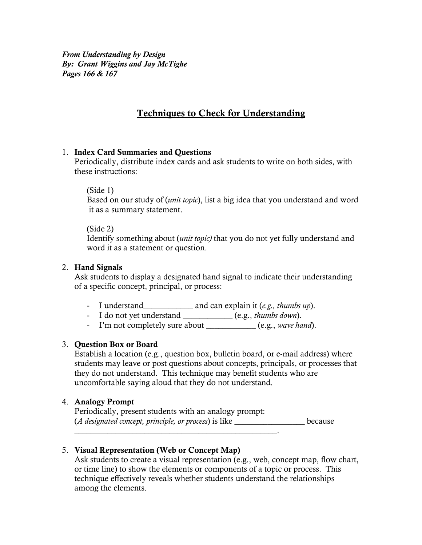*From Understanding by Design By: Grant Wiggins and Jay McTighe Pages 166 & 167*

# Techniques to Check for Understanding

### 1. Index Card Summaries and Questions

Periodically, distribute index cards and ask students to write on both sides, with these instructions:

#### (Side 1)

Based on our study of (*unit topic*), list a big idea that you understand and word it as a summary statement.

#### (Side 2)

Identify something about (*unit topic)* that you do not yet fully understand and word it as a statement or question.

#### 2. Hand Signals

Ask students to display a designated hand signal to indicate their understanding of a specific concept, principal, or process:

- I understand\_\_\_\_\_\_\_\_\_\_\_\_ and can explain it (*e.g., thumbs up*).
- I do not yet understand \_\_\_\_\_\_\_\_\_\_\_\_ (e.g., *thumbs down*).
- I'm not completely sure about <u>\_\_\_\_\_\_\_\_\_\_\_</u> (e.g., *wave hand*).

# 3. Question Box or Board

Establish a location (e.g., question box, bulletin board, or e-mail address) where students may leave or post questions about concepts, principals, or processes that they do not understand. This technique may benefit students who are uncomfortable saying aloud that they do not understand.

#### 4. Analogy Prompt

Periodically, present students with an analogy prompt: (*A designated concept, principle, or process*) is like \_\_\_\_\_\_\_\_\_\_\_\_\_\_\_\_\_ because

# 5. Visual Representation (Web or Concept Map)

Ask students to create a visual representation (e.g., web, concept map, flow chart, or time line) to show the elements or components of a topic or process. This technique effectively reveals whether students understand the relationships among the elements.

\_\_\_\_\_\_\_\_\_\_\_\_\_\_\_\_\_\_\_\_\_\_\_\_\_\_\_\_\_\_\_\_\_\_\_\_\_\_\_\_\_\_\_\_\_\_\_\_\_.